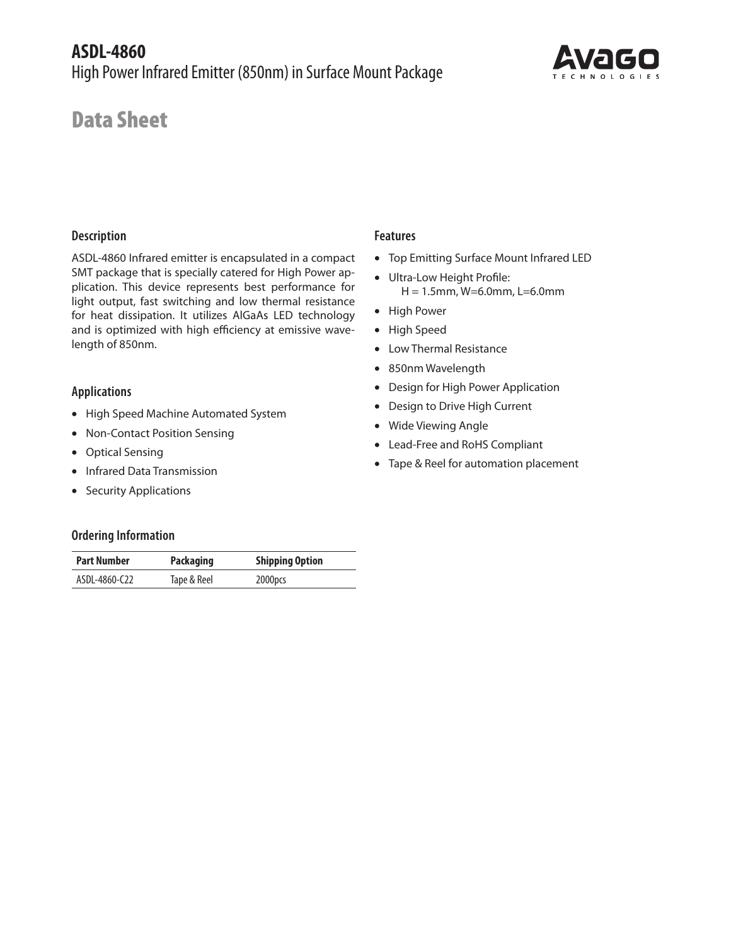

# Data Sheet

#### **Description**

ASDL-4860 Infrared emitter is encapsulated in a compact SMT package that is specially catered for High Power application. This device represents best performance for light output, fast switching and low thermal resistance for heat dissipation. It utilizes AlGaAs LED technology and is optimized with high efficiency at emissive wavelength of 850nm.

#### **Applications**

- High Speed Machine Automated System
- Non-Contact Position Sensing
- Optical Sensing
- Infrared Data Transmission
- Security Applications

## **Features**

- Top Emitting Surface Mount Infrared LED
- Ultra-Low Height Profile: H = 1.5mm, W=6.0mm, L=6.0mm
- High Power
- High Speed
- Low Thermal Resistance
- 850nm Wavelength
- Design for High Power Application
- Design to Drive High Current
- Wide Viewing Angle
- Lead-Free and RoHS Compliant
- Tape & Reel for automation placement

#### **Ordering Information**

| <b>Part Number</b> | <b>Packaging</b> | <b>Shipping Option</b> |  |  |
|--------------------|------------------|------------------------|--|--|
| ASDL-4860-C22      | Tape & Reel      | 2000pcs                |  |  |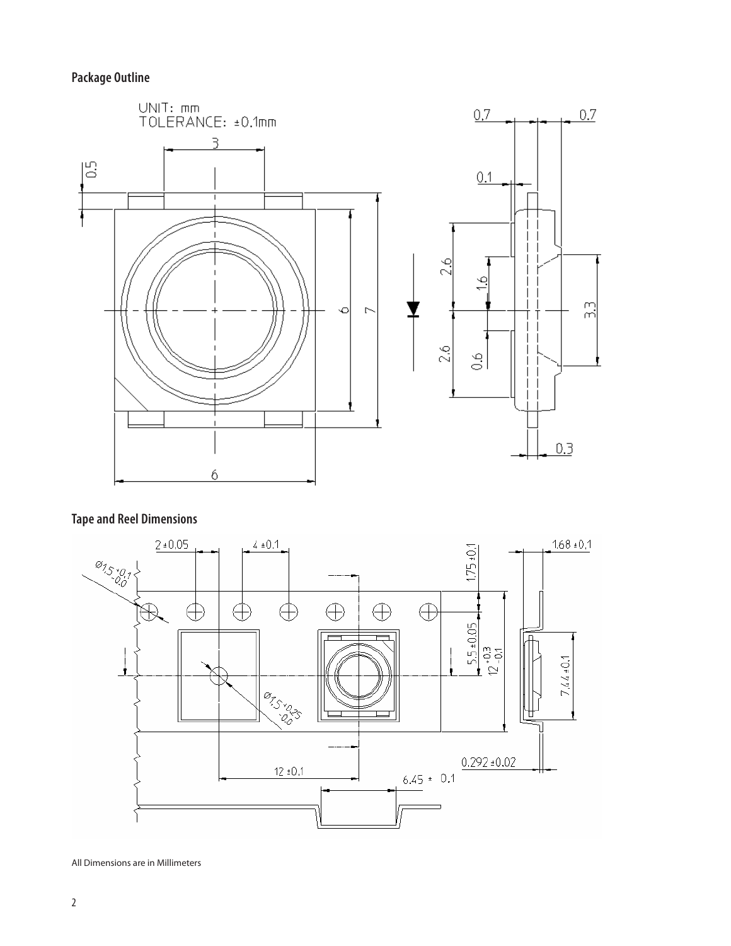# **Package Outline**



# **Tape and Reel Dimensions**



All Dimensions are in Millimeters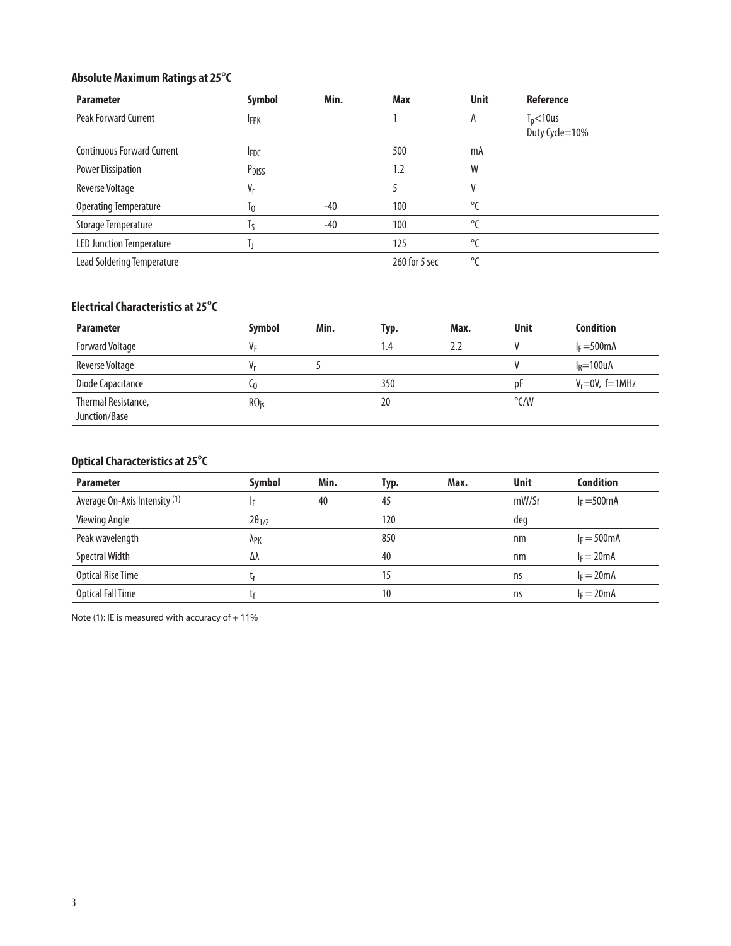# **Absolute Maximum Ratings at 25**°**C**

| <b>Parameter</b>                  | Symbol            | Min.  | Max           | <b>Unit</b>  | Reference      |
|-----------------------------------|-------------------|-------|---------------|--------------|----------------|
| <b>Peak Forward Current</b>       | <b>IFPK</b>       |       |               | A            | $T_p$ <10us    |
|                                   |                   |       |               |              | Duty Cycle=10% |
| <b>Continuous Forward Current</b> | <b>IFDC</b>       |       | 500           | mA           |                |
| <b>Power Dissipation</b>          | P <sub>DISS</sub> |       | 1.2           | W            |                |
| <b>Reverse Voltage</b>            | V,                |       |               | V            |                |
| <b>Operating Temperature</b>      | 10                | $-40$ | 100           | $\mathrm{C}$ |                |
| Storage Temperature               | Iς                | $-40$ | 100           | °C           |                |
| <b>LED Junction Temperature</b>   |                   |       | 125           | °C           |                |
| Lead Soldering Temperature        |                   |       | 260 for 5 sec | °ſ           |                |

## **Electrical Characteristics at 25**°**C**

| <b>Parameter</b>                     | <b>Symbol</b>         | Min. | Typ. | Max. | <b>Unit</b>   | <b>Condition</b>    |
|--------------------------------------|-----------------------|------|------|------|---------------|---------------------|
| <b>Forward Voltage</b>               | Vг                    |      | 1.4  | 2.2  |               | $I_F = 500$ mA      |
| Reverse Voltage                      |                       |      |      |      |               | $I_R = 100uA$       |
| Diode Capacitance                    | LΩ                    |      | 350  |      | Dŀ            | $V_r = 0V$ , f=1MHz |
| Thermal Resistance,<br>Junction/Base | $R\Theta_{\text{is}}$ |      | 20   |      | $\degree$ C/W |                     |

# **Optical Characteristics at 25**°**C**

| <b>Parameter</b>              | Symbol          | Min. | Typ. | Max. | <b>Unit</b> | <b>Condition</b> |
|-------------------------------|-----------------|------|------|------|-------------|------------------|
| Average On-Axis Intensity (1) |                 | 40   | 45   |      | mW/Sr       | $I_F = 500$ mA   |
| Viewing Angle                 | $2\theta_{1/2}$ |      | 120  |      | deg         |                  |
| Peak wavelength               | <b>APK</b>      |      | 850  |      | nm          | $I_F = 500$ mA   |
| Spectral Width                | Δλ              |      | 40   |      | nm          | $I_F = 20mA$     |
| <b>Optical Rise Time</b>      |                 |      | 15   |      | ns          | $I_F = 20mA$     |
| <b>Optical Fall Time</b>      |                 |      | 10   |      | ns          | $I_F = 20mA$     |

Note (1): IE is measured with accuracy of  $+11\%$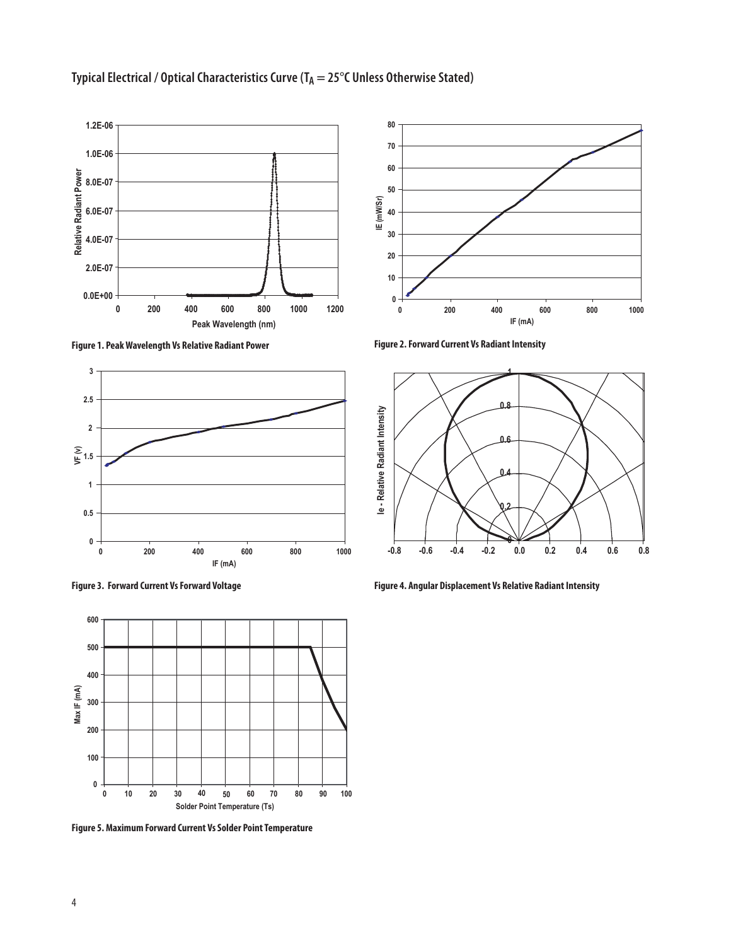

# Typical Electrical / Optical Characteristics Curve (T<sub>A</sub> = 25°C Unless Otherwise Stated)

**Figure 1. Peak Wavelength Vs Relative Radiant Power Figure 2. Forward Current Vs Radiant Intensity** 







**Figure 5. Maximum Forward Current Vs Solder Point Temperature**





**Figure 4. Angular Displacement Vs Relative Radiant Intensity**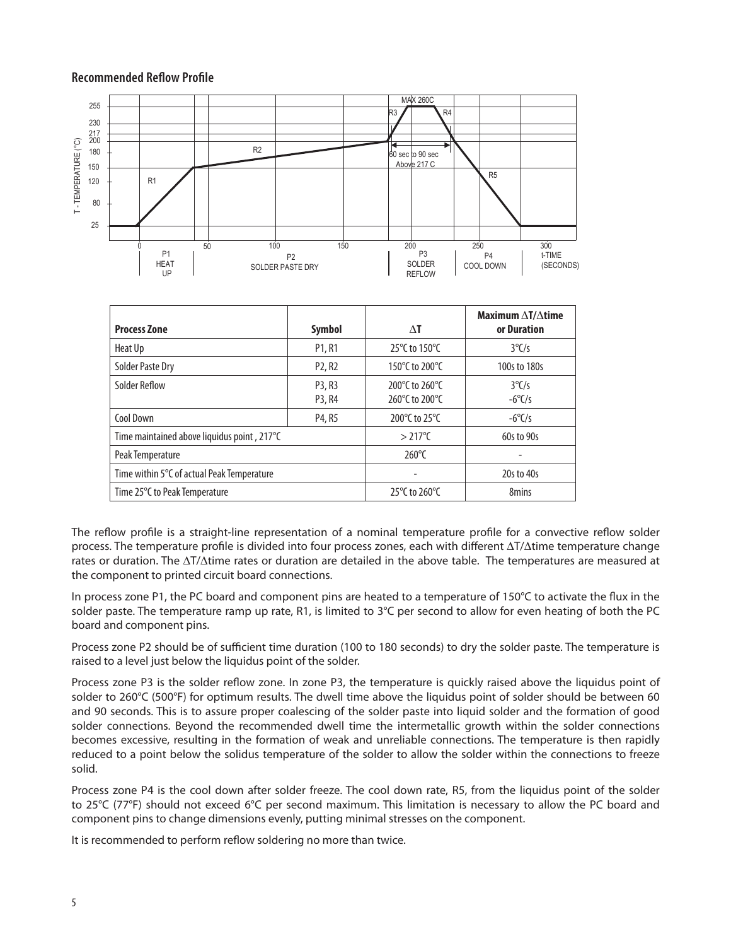#### **Recommended Reflow Profile**



|                                             |                                 |                                    | Maximum $\Delta T/\Delta t$ ime |
|---------------------------------------------|---------------------------------|------------------------------------|---------------------------------|
| <b>Process Zone</b>                         | Symbol                          | ΛT                                 | or Duration                     |
| Heat Up                                     | P <sub>1</sub> , R <sub>1</sub> | 25°C to 150°C                      | $3^{\circ}$ C/s                 |
| <b>Solder Paste Dry</b>                     | P <sub>2</sub> , R <sub>2</sub> | 150°C to 200°C                     | 100s to 180s                    |
| Solder Reflow                               | P3, R3                          | 200°C to 260°C                     | $3^{\circ}$ C/s                 |
|                                             | P3, R4                          | 260 $\degree$ C to 200 $\degree$ C | $-6^{\circ}$ C/s                |
| Cool Down                                   | P4, R5                          | 200°C to 25°C                      | $-6^{\circ}$ C/s                |
| Time maintained above liquidus point, 217°C |                                 | $>217^{\circ}$ C                   | 60s to 90s                      |
| Peak Temperature                            |                                 | $260^{\circ}$ C                    |                                 |
| Time within 5°C of actual Peak Temperature  |                                 |                                    | 20s to 40s                      |
| Time 25°C to Peak Temperature               |                                 | 25 $\degree$ C to 260 $\degree$ C  | 8mins                           |

The reflow profile is a straight-line representation of a nominal temperature profile for a convective reflow solder process. The temperature profile is divided into four process zones, each with different  $\Delta T/\Delta t$ ime temperature change rates or duration. The  $\Delta T/\Delta t$  ime rates or duration are detailed in the above table. The temperatures are measured at the component to printed circuit board connections.

In process zone P1, the PC board and component pins are heated to a temperature of 150°C to activate the flux in the solder paste. The temperature ramp up rate, R1, is limited to  $3^{\circ}C$  per second to allow for even heating of both the PC board and component pins.

Process zone P2 should be of sufficient time duration (100 to 180 seconds) to dry the solder paste. The temperature is raised to a level just below the liquidus point of the solder.

Process zone P3 is the solder reflow zone. In zone P3, the temperature is quickly raised above the liquidus point of solder to 260°C (500°F) for optimum results. The dwell time above the liquidus point of solder should be between 60 and 90 seconds. This is to assure proper coalescing of the solder paste into liquid solder and the formation of good solder connections. Beyond the recommended dwell time the intermetallic growth within the solder connections becomes excessive, resulting in the formation of weak and unreliable connections. The temperature is then rapidly reduced to a point below the solidus temperature of the solder to allow the solder within the connections to freeze solid.

Process zone P4 is the cool down after solder freeze. The cool down rate, R5, from the liquidus point of the solder to 25°C (77°F) should not exceed 6°C per second maximum. This limitation is necessary to allow the PC board and component pins to change dimensions evenly, putting minimal stresses on the component.

It is recommended to perform reflow soldering no more than twice.